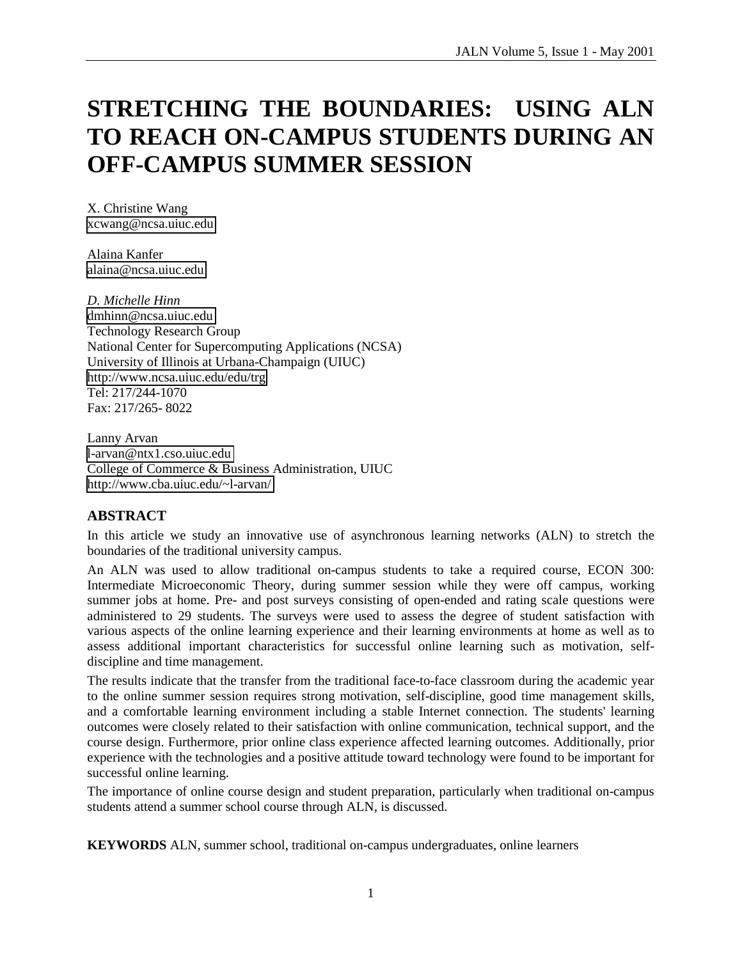# **STRETCHING THE BOUNDARIES: USING ALN TO REACH ON-CAMPUS STUDENTS DURING AN OFF-CAMPUS SUMMER SESSION**

X. Christine Wang [xcwang@ncsa.uiuc.edu](mailto:Xcwang@ncsa.uiuc.edu) 

Alaina Kanfer [alaina@ncsa.uiuc.edu](mailto:alaina@ncsa.uiuc.edu) 

*D. Michelle Hinn*  [dmhinn@ncsa.uiuc.edu](mailto:dmhinn@ncsa.uiuc.edu)  Technology Research Group National Center for Supercomputing Applications (NCSA) University of Illinois at Urbana-Champaign (UIUC) <http://www.ncsa.uiuc.edu/edu/trg> Tel: 217/244-1070 Fax: 217/265- 8022

Lanny Arvan [l-arvan@ntx1.cso.uiuc.edu](mailto:l-arvan@ntx1.cso.uiuc.edu)  College of Commerce & Business Administration, UIUC <http://www.cba.uiuc.edu/~l-arvan/>

## **ABSTRACT**

In this article we study an innovative use of asynchronous learning networks (ALN) to stretch the boundaries of the traditional university campus.

An ALN was used to allow traditional on-campus students to take a required course, ECON 300: Intermediate Microeconomic Theory, during summer session while they were off campus, working summer jobs at home. Pre- and post surveys consisting of open-ended and rating scale questions were administered to 29 students. The surveys were used to assess the degree of student satisfaction with various aspects of the online learning experience and their learning environments at home as well as to assess additional important characteristics for successful online learning such as motivation, selfdiscipline and time management.

The results indicate that the transfer from the traditional face-to-face classroom during the academic year to the online summer session requires strong motivation, self-discipline, good time management skills, and a comfortable learning environment including a stable Internet connection. The students' learning outcomes were closely related to their satisfaction with online communication, technical support, and the course design. Furthermore, prior online class experience affected learning outcomes. Additionally, prior experience with the technologies and a positive attitude toward technology were found to be important for successful online learning.

The importance of online course design and student preparation, particularly when traditional on-campus students attend a summer school course through ALN, is discussed.

**KEYWORDS** ALN, summer school, traditional on-campus undergraduates, online learners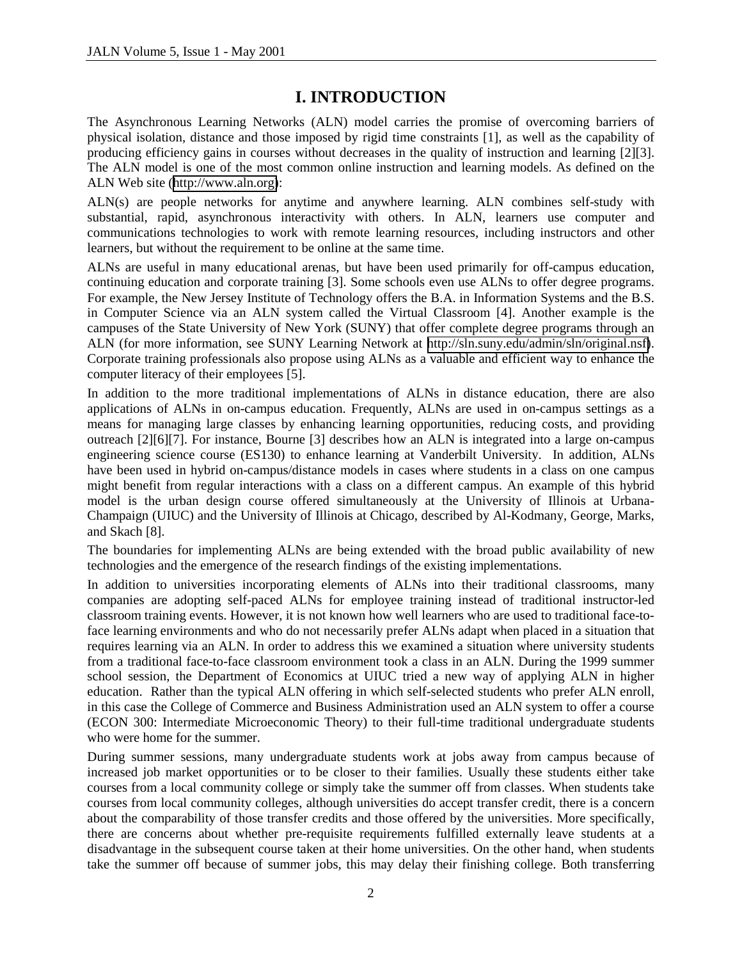# **I. INTRODUCTION**

The Asynchronous Learning Networks (ALN) model carries the promise of overcoming barriers of physical isolation, distance and those imposed by rigid time constraints [1], as well as the capability of producing efficiency gains in courses without decreases in the quality of instruction and learning [2][3]. The ALN model is one of the most common online instruction and learning models. As defined on the ALN Web site ([http://www.aln.org\)](http://www.aln.org/):

ALN(s) are people networks for anytime and anywhere learning. ALN combines self-study with substantial, rapid, asynchronous interactivity with others. In ALN, learners use computer and communications technologies to work with remote learning resources, including instructors and other learners, but without the requirement to be online at the same time.

ALNs are useful in many educational arenas, but have been used primarily for off-campus education, continuing education and corporate training [3]. Some schools even use ALNs to offer degree programs. For example, the New Jersey Institute of Technology offers the B.A. in Information Systems and the B.S. in Computer Science via an ALN system called the Virtual Classroom [4]. Another example is the campuses of the State University of New York (SUNY) that offer complete degree programs through an ALN (for more information, see SUNY Learning Network at [http://sln.suny.edu/admin/sln/original.nsf\)](http://sln.suny.edu/admin/sln/original.nsf). Corporate training professionals also propose using ALNs as a valuable and efficient way to enhance the computer literacy of their employees [5].

In addition to the more traditional implementations of ALNs in distance education, there are also applications of ALNs in on-campus education. Frequently, ALNs are used in on-campus settings as a means for managing large classes by enhancing learning opportunities, reducing costs, and providing outreach [2][6][7]. For instance, Bourne [3] describes how an ALN is integrated into a large on-campus engineering science course (ES130) to enhance learning at Vanderbilt University. In addition, ALNs have been used in hybrid on-campus/distance models in cases where students in a class on one campus might benefit from regular interactions with a class on a different campus. An example of this hybrid model is the urban design course offered simultaneously at the University of Illinois at Urbana-Champaign (UIUC) and the University of Illinois at Chicago, described by Al-Kodmany, George, Marks, and Skach [8].

The boundaries for implementing ALNs are being extended with the broad public availability of new technologies and the emergence of the research findings of the existing implementations.

In addition to universities incorporating elements of ALNs into their traditional classrooms, many companies are adopting self-paced ALNs for employee training instead of traditional instructor-led classroom training events. However, it is not known how well learners who are used to traditional face-toface learning environments and who do not necessarily prefer ALNs adapt when placed in a situation that requires learning via an ALN. In order to address this we examined a situation where university students from a traditional face-to-face classroom environment took a class in an ALN. During the 1999 summer school session, the Department of Economics at UIUC tried a new way of applying ALN in higher education. Rather than the typical ALN offering in which self-selected students who prefer ALN enroll, in this case the College of Commerce and Business Administration used an ALN system to offer a course (ECON 300: Intermediate Microeconomic Theory) to their full-time traditional undergraduate students who were home for the summer.

During summer sessions, many undergraduate students work at jobs away from campus because of increased job market opportunities or to be closer to their families. Usually these students either take courses from a local community college or simply take the summer off from classes. When students take courses from local community colleges, although universities do accept transfer credit, there is a concern about the comparability of those transfer credits and those offered by the universities. More specifically, there are concerns about whether pre-requisite requirements fulfilled externally leave students at a disadvantage in the subsequent course taken at their home universities. On the other hand, when students take the summer off because of summer jobs, this may delay their finishing college. Both transferring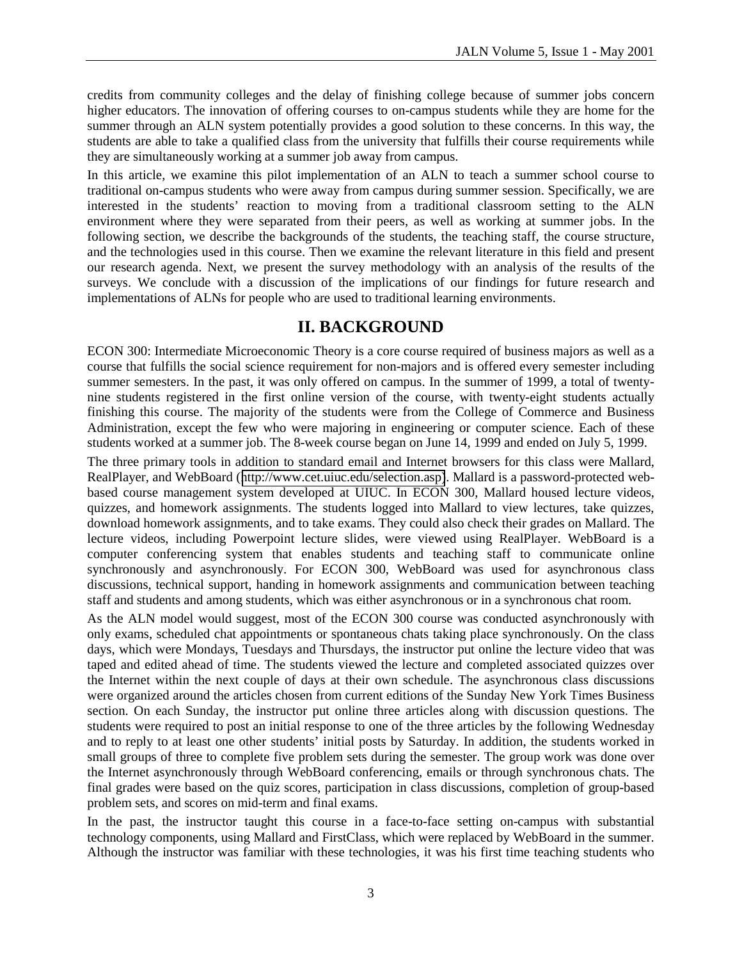credits from community colleges and the delay of finishing college because of summer jobs concern higher educators. The innovation of offering courses to on-campus students while they are home for the summer through an ALN system potentially provides a good solution to these concerns. In this way, the students are able to take a qualified class from the university that fulfills their course requirements while they are simultaneously working at a summer job away from campus.

In this article, we examine this pilot implementation of an ALN to teach a summer school course to traditional on-campus students who were away from campus during summer session. Specifically, we are interested in the students' reaction to moving from a traditional classroom setting to the ALN environment where they were separated from their peers, as well as working at summer jobs. In the following section, we describe the backgrounds of the students, the teaching staff, the course structure, and the technologies used in this course. Then we examine the relevant literature in this field and present our research agenda. Next, we present the survey methodology with an analysis of the results of the surveys. We conclude with a discussion of the implications of our findings for future research and implementations of ALNs for people who are used to traditional learning environments.

## **II. BACKGROUND**

ECON 300: Intermediate Microeconomic Theory is a core course required of business majors as well as a course that fulfills the social science requirement for non-majors and is offered every semester including summer semesters. In the past, it was only offered on campus. In the summer of 1999, a total of twentynine students registered in the first online version of the course, with twenty-eight students actually finishing this course. The majority of the students were from the College of Commerce and Business Administration, except the few who were majoring in engineering or computer science. Each of these students worked at a summer job. The 8-week course began on June 14, 1999 and ended on July 5, 1999.

The three primary tools in addition to standard email and Internet browsers for this class were Mallard, RealPlayer, and WebBoard ([http://www.cet.uiuc.edu/selection.asp\)](http://www.cet.uiuc.edu/selection.asp). Mallard is a password-protected webbased course management system developed at UIUC. In ECON 300, Mallard housed lecture videos, quizzes, and homework assignments. The students logged into Mallard to view lectures, take quizzes, download homework assignments, and to take exams. They could also check their grades on Mallard. The lecture videos, including Powerpoint lecture slides, were viewed using RealPlayer. WebBoard is a computer conferencing system that enables students and teaching staff to communicate online synchronously and asynchronously. For ECON 300, WebBoard was used for asynchronous class discussions, technical support, handing in homework assignments and communication between teaching staff and students and among students, which was either asynchronous or in a synchronous chat room.

As the ALN model would suggest, most of the ECON 300 course was conducted asynchronously with only exams, scheduled chat appointments or spontaneous chats taking place synchronously. On the class days, which were Mondays, Tuesdays and Thursdays, the instructor put online the lecture video that was taped and edited ahead of time. The students viewed the lecture and completed associated quizzes over the Internet within the next couple of days at their own schedule. The asynchronous class discussions were organized around the articles chosen from current editions of the Sunday New York Times Business section. On each Sunday, the instructor put online three articles along with discussion questions. The students were required to post an initial response to one of the three articles by the following Wednesday and to reply to at least one other students' initial posts by Saturday. In addition, the students worked in small groups of three to complete five problem sets during the semester. The group work was done over the Internet asynchronously through WebBoard conferencing, emails or through synchronous chats. The final grades were based on the quiz scores, participation in class discussions, completion of group-based problem sets, and scores on mid-term and final exams.

In the past, the instructor taught this course in a face-to-face setting on-campus with substantial technology components, using Mallard and FirstClass, which were replaced by WebBoard in the summer. Although the instructor was familiar with these technologies, it was his first time teaching students who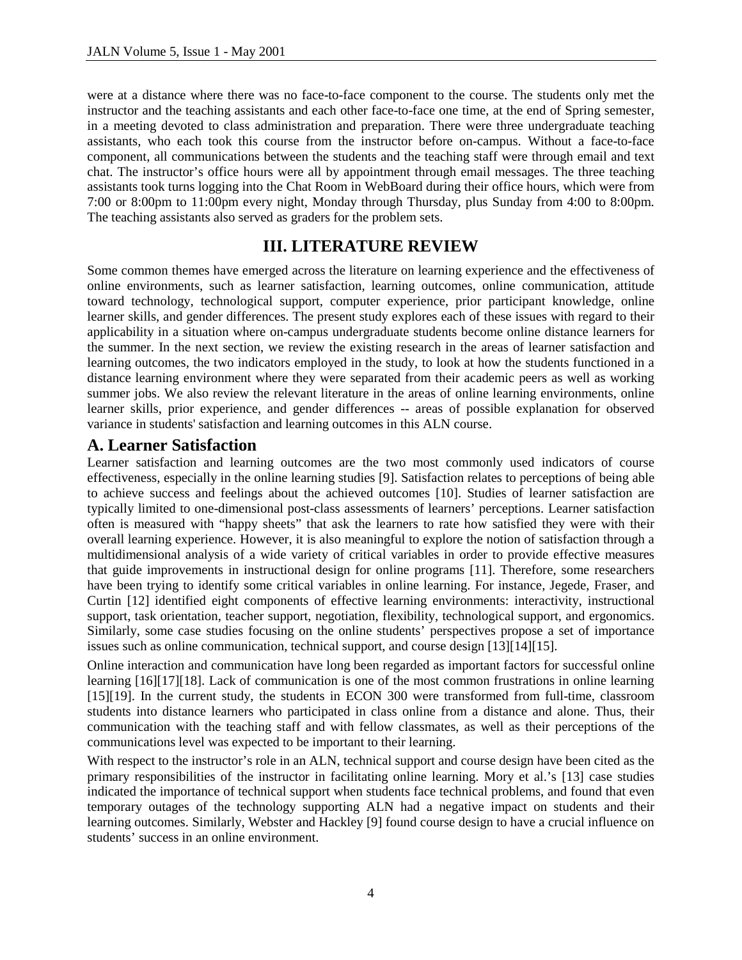were at a distance where there was no face-to-face component to the course. The students only met the instructor and the teaching assistants and each other face-to-face one time, at the end of Spring semester, in a meeting devoted to class administration and preparation. There were three undergraduate teaching assistants, who each took this course from the instructor before on-campus. Without a face-to-face component, all communications between the students and the teaching staff were through email and text chat. The instructor's office hours were all by appointment through email messages. The three teaching assistants took turns logging into the Chat Room in WebBoard during their office hours, which were from 7:00 or 8:00pm to 11:00pm every night, Monday through Thursday, plus Sunday from 4:00 to 8:00pm. The teaching assistants also served as graders for the problem sets.

# **III. LITERATURE REVIEW**

Some common themes have emerged across the literature on learning experience and the effectiveness of online environments, such as learner satisfaction, learning outcomes, online communication, attitude toward technology, technological support, computer experience, prior participant knowledge, online learner skills, and gender differences. The present study explores each of these issues with regard to their applicability in a situation where on-campus undergraduate students become online distance learners for the summer. In the next section, we review the existing research in the areas of learner satisfaction and learning outcomes, the two indicators employed in the study, to look at how the students functioned in a distance learning environment where they were separated from their academic peers as well as working summer jobs. We also review the relevant literature in the areas of online learning environments, online learner skills, prior experience, and gender differences -- areas of possible explanation for observed variance in students' satisfaction and learning outcomes in this ALN course.

## **A. Learner Satisfaction**

Learner satisfaction and learning outcomes are the two most commonly used indicators of course effectiveness, especially in the online learning studies [9]. Satisfaction relates to perceptions of being able to achieve success and feelings about the achieved outcomes [10]. Studies of learner satisfaction are typically limited to one-dimensional post-class assessments of learners' perceptions. Learner satisfaction often is measured with "happy sheets" that ask the learners to rate how satisfied they were with their overall learning experience. However, it is also meaningful to explore the notion of satisfaction through a multidimensional analysis of a wide variety of critical variables in order to provide effective measures that guide improvements in instructional design for online programs [11]. Therefore, some researchers have been trying to identify some critical variables in online learning. For instance, Jegede, Fraser, and Curtin [12] identified eight components of effective learning environments: interactivity, instructional support, task orientation, teacher support, negotiation, flexibility, technological support, and ergonomics. Similarly, some case studies focusing on the online students' perspectives propose a set of importance issues such as online communication, technical support, and course design [13][14][15].

Online interaction and communication have long been regarded as important factors for successful online learning [16][17][18]. Lack of communication is one of the most common frustrations in online learning [15][19]. In the current study, the students in ECON 300 were transformed from full-time, classroom students into distance learners who participated in class online from a distance and alone. Thus, their communication with the teaching staff and with fellow classmates, as well as their perceptions of the communications level was expected to be important to their learning.

With respect to the instructor's role in an ALN, technical support and course design have been cited as the primary responsibilities of the instructor in facilitating online learning. Mory et al.'s [13] case studies indicated the importance of technical support when students face technical problems, and found that even temporary outages of the technology supporting ALN had a negative impact on students and their learning outcomes. Similarly, Webster and Hackley [9] found course design to have a crucial influence on students' success in an online environment.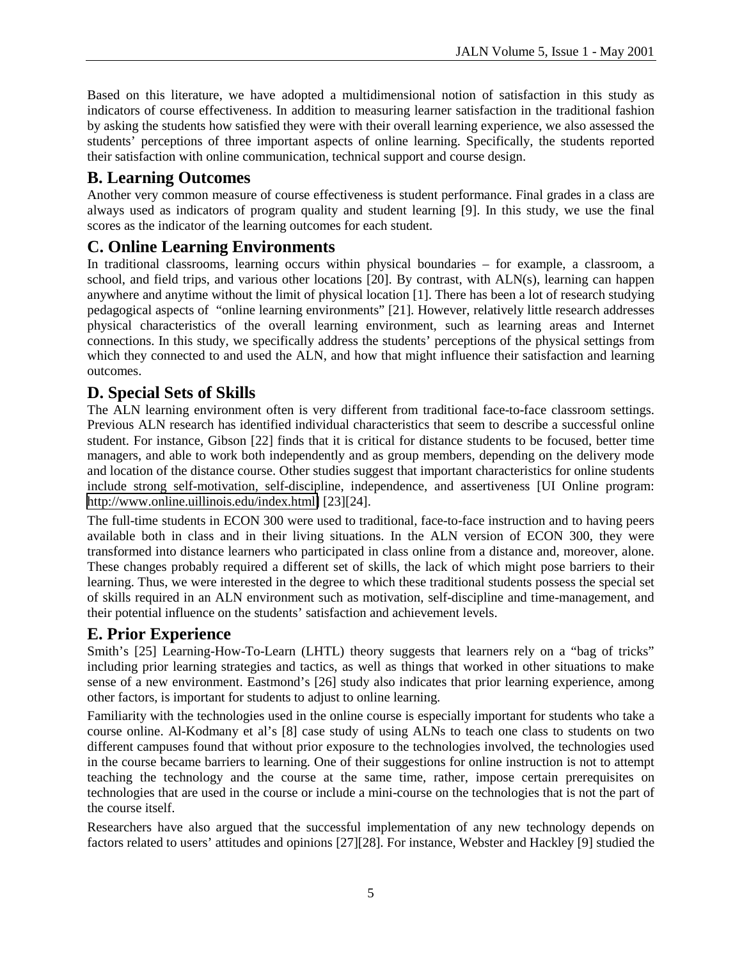Based on this literature, we have adopted a multidimensional notion of satisfaction in this study as indicators of course effectiveness. In addition to measuring learner satisfaction in the traditional fashion by asking the students how satisfied they were with their overall learning experience, we also assessed the students' perceptions of three important aspects of online learning. Specifically, the students reported their satisfaction with online communication, technical support and course design.

# **B. Learning Outcomes**

Another very common measure of course effectiveness is student performance. Final grades in a class are always used as indicators of program quality and student learning [9]. In this study, we use the final scores as the indicator of the learning outcomes for each student.

# **C. Online Learning Environments**

In traditional classrooms, learning occurs within physical boundaries – for example, a classroom, a school, and field trips, and various other locations [20]. By contrast, with ALN(s), learning can happen anywhere and anytime without the limit of physical location [1]. There has been a lot of research studying pedagogical aspects of "online learning environments" [21]. However, relatively little research addresses physical characteristics of the overall learning environment, such as learning areas and Internet connections. In this study, we specifically address the students' perceptions of the physical settings from which they connected to and used the ALN, and how that might influence their satisfaction and learning outcomes.

# **D. Special Sets of Skills**

The ALN learning environment often is very different from traditional face-to-face classroom settings. Previous ALN research has identified individual characteristics that seem to describe a successful online student. For instance, Gibson [22] finds that it is critical for distance students to be focused, better time managers, and able to work both independently and as group members, depending on the delivery mode and location of the distance course. Other studies suggest that important characteristics for online students include strong self-motivation, self-discipline, independence, and assertiveness [UI Online program: [http://www.online.uillinois.edu/index.html\]](http://www.online.uillinois.edu/index.html) [23][24].

The full-time students in ECON 300 were used to traditional, face-to-face instruction and to having peers available both in class and in their living situations. In the ALN version of ECON 300, they were transformed into distance learners who participated in class online from a distance and, moreover, alone. These changes probably required a different set of skills, the lack of which might pose barriers to their learning. Thus, we were interested in the degree to which these traditional students possess the special set of skills required in an ALN environment such as motivation, self-discipline and time-management, and their potential influence on the students' satisfaction and achievement levels.

# **E. Prior Experience**

Smith's [25] Learning-How-To-Learn (LHTL) theory suggests that learners rely on a "bag of tricks" including prior learning strategies and tactics, as well as things that worked in other situations to make sense of a new environment. Eastmond's [26] study also indicates that prior learning experience, among other factors, is important for students to adjust to online learning.

Familiarity with the technologies used in the online course is especially important for students who take a course online. Al-Kodmany et al's [8] case study of using ALNs to teach one class to students on two different campuses found that without prior exposure to the technologies involved, the technologies used in the course became barriers to learning. One of their suggestions for online instruction is not to attempt teaching the technology and the course at the same time, rather, impose certain prerequisites on technologies that are used in the course or include a mini-course on the technologies that is not the part of the course itself.

Researchers have also argued that the successful implementation of any new technology depends on factors related to users' attitudes and opinions [27][28]. For instance, Webster and Hackley [9] studied the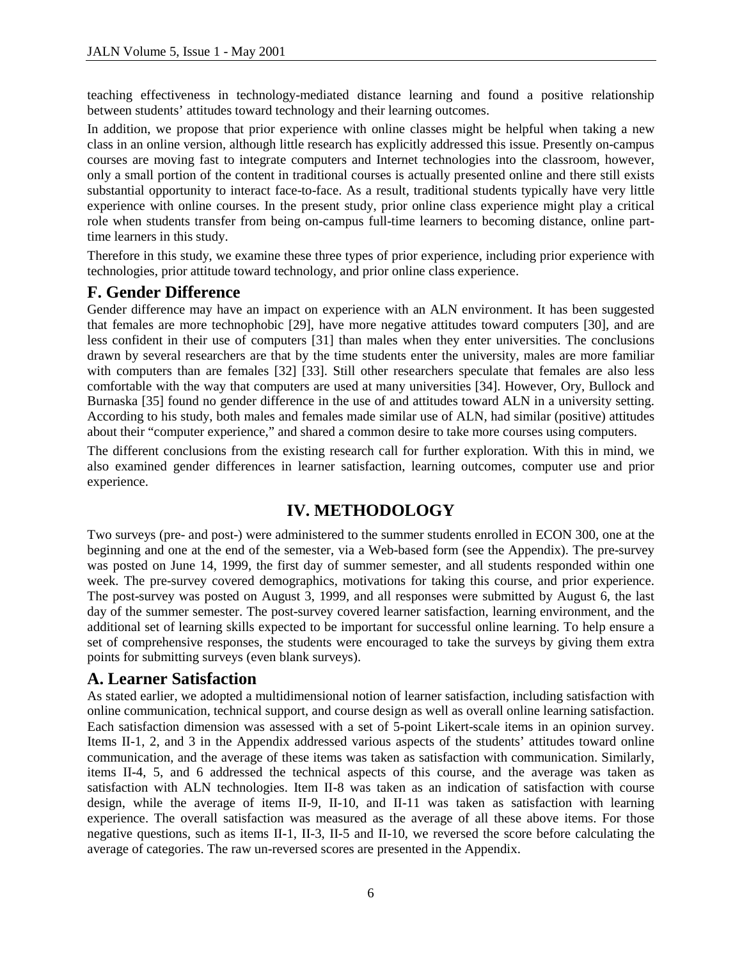teaching effectiveness in technology-mediated distance learning and found a positive relationship between students' attitudes toward technology and their learning outcomes.

In addition, we propose that prior experience with online classes might be helpful when taking a new class in an online version, although little research has explicitly addressed this issue. Presently on-campus courses are moving fast to integrate computers and Internet technologies into the classroom, however, only a small portion of the content in traditional courses is actually presented online and there still exists substantial opportunity to interact face-to-face. As a result, traditional students typically have very little experience with online courses. In the present study, prior online class experience might play a critical role when students transfer from being on-campus full-time learners to becoming distance, online parttime learners in this study.

Therefore in this study, we examine these three types of prior experience, including prior experience with technologies, prior attitude toward technology, and prior online class experience.

## **F. Gender Difference**

Gender difference may have an impact on experience with an ALN environment. It has been suggested that females are more technophobic [29], have more negative attitudes toward computers [30], and are less confident in their use of computers [31] than males when they enter universities. The conclusions drawn by several researchers are that by the time students enter the university, males are more familiar with computers than are females [32] [33]. Still other researchers speculate that females are also less comfortable with the way that computers are used at many universities [34]. However, Ory, Bullock and Burnaska [35] found no gender difference in the use of and attitudes toward ALN in a university setting. According to his study, both males and females made similar use of ALN, had similar (positive) attitudes about their "computer experience," and shared a common desire to take more courses using computers.

The different conclusions from the existing research call for further exploration. With this in mind, we also examined gender differences in learner satisfaction, learning outcomes, computer use and prior experience.

## **IV. METHODOLOGY**

Two surveys (pre- and post-) were administered to the summer students enrolled in ECON 300, one at the beginning and one at the end of the semester, via a Web-based form (see the Appendix). The pre-survey was posted on June 14, 1999, the first day of summer semester, and all students responded within one week. The pre-survey covered demographics, motivations for taking this course, and prior experience. The post-survey was posted on August 3, 1999, and all responses were submitted by August 6, the last day of the summer semester. The post-survey covered learner satisfaction, learning environment, and the additional set of learning skills expected to be important for successful online learning. To help ensure a set of comprehensive responses, the students were encouraged to take the surveys by giving them extra points for submitting surveys (even blank surveys).

## **A. Learner Satisfaction**

As stated earlier, we adopted a multidimensional notion of learner satisfaction, including satisfaction with online communication, technical support, and course design as well as overall online learning satisfaction. Each satisfaction dimension was assessed with a set of 5-point Likert-scale items in an opinion survey. Items II-1, 2, and 3 in the Appendix addressed various aspects of the students' attitudes toward online communication, and the average of these items was taken as satisfaction with communication. Similarly, items II-4, 5, and 6 addressed the technical aspects of this course, and the average was taken as satisfaction with ALN technologies. Item II-8 was taken as an indication of satisfaction with course design, while the average of items II-9, II-10, and II-11 was taken as satisfaction with learning experience. The overall satisfaction was measured as the average of all these above items. For those negative questions, such as items II-1, II-3, II-5 and II-10, we reversed the score before calculating the average of categories. The raw un-reversed scores are presented in the Appendix.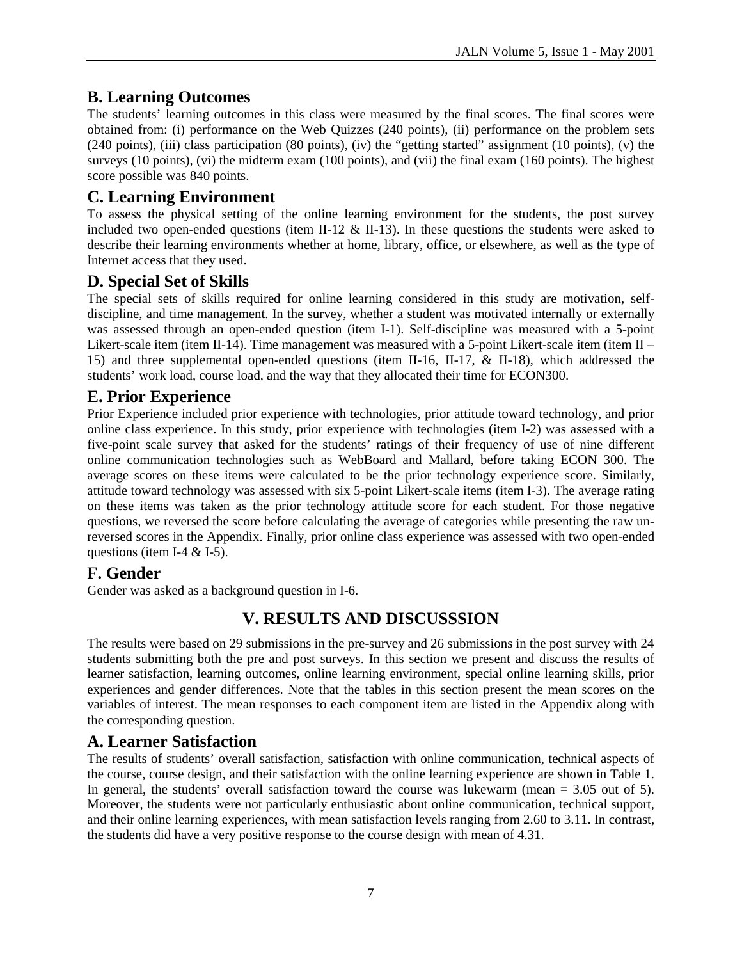# **B. Learning Outcomes**

The students' learning outcomes in this class were measured by the final scores. The final scores were obtained from: (i) performance on the Web Quizzes (240 points), (ii) performance on the problem sets (240 points), (iii) class participation (80 points), (iv) the "getting started" assignment (10 points), (v) the surveys (10 points), (vi) the midterm exam (100 points), and (vii) the final exam (160 points). The highest score possible was 840 points.

## **C. Learning Environment**

To assess the physical setting of the online learning environment for the students, the post survey included two open-ended questions (item II-12  $\&$  II-13). In these questions the students were asked to describe their learning environments whether at home, library, office, or elsewhere, as well as the type of Internet access that they used.

## **D. Special Set of Skills**

The special sets of skills required for online learning considered in this study are motivation, selfdiscipline, and time management. In the survey, whether a student was motivated internally or externally was assessed through an open-ended question (item I-1). Self-discipline was measured with a 5-point Likert-scale item (item II-14). Time management was measured with a 5-point Likert-scale item (item II – 15) and three supplemental open-ended questions (item II-16, II-17, & II-18), which addressed the students' work load, course load, and the way that they allocated their time for ECON300.

## **E. Prior Experience**

Prior Experience included prior experience with technologies, prior attitude toward technology, and prior online class experience. In this study, prior experience with technologies (item I-2) was assessed with a five-point scale survey that asked for the students' ratings of their frequency of use of nine different online communication technologies such as WebBoard and Mallard, before taking ECON 300. The average scores on these items were calculated to be the prior technology experience score. Similarly, attitude toward technology was assessed with six 5-point Likert-scale items (item I-3). The average rating on these items was taken as the prior technology attitude score for each student. For those negative questions, we reversed the score before calculating the average of categories while presenting the raw unreversed scores in the Appendix. Finally, prior online class experience was assessed with two open-ended questions (item I-4  $&$  I-5).

## **F. Gender**

Gender was asked as a background question in I-6.

# **V. RESULTS AND DISCUSSSION**

The results were based on 29 submissions in the pre-survey and 26 submissions in the post survey with 24 students submitting both the pre and post surveys. In this section we present and discuss the results of learner satisfaction, learning outcomes, online learning environment, special online learning skills, prior experiences and gender differences. Note that the tables in this section present the mean scores on the variables of interest. The mean responses to each component item are listed in the Appendix along with the corresponding question.

## **A. Learner Satisfaction**

The results of students' overall satisfaction, satisfaction with online communication, technical aspects of the course, course design, and their satisfaction with the online learning experience are shown in Table 1. In general, the students' overall satisfaction toward the course was lukewarm (mean = 3.05 out of 5). Moreover, the students were not particularly enthusiastic about online communication, technical support, and their online learning experiences, with mean satisfaction levels ranging from 2.60 to 3.11. In contrast, the students did have a very positive response to the course design with mean of 4.31.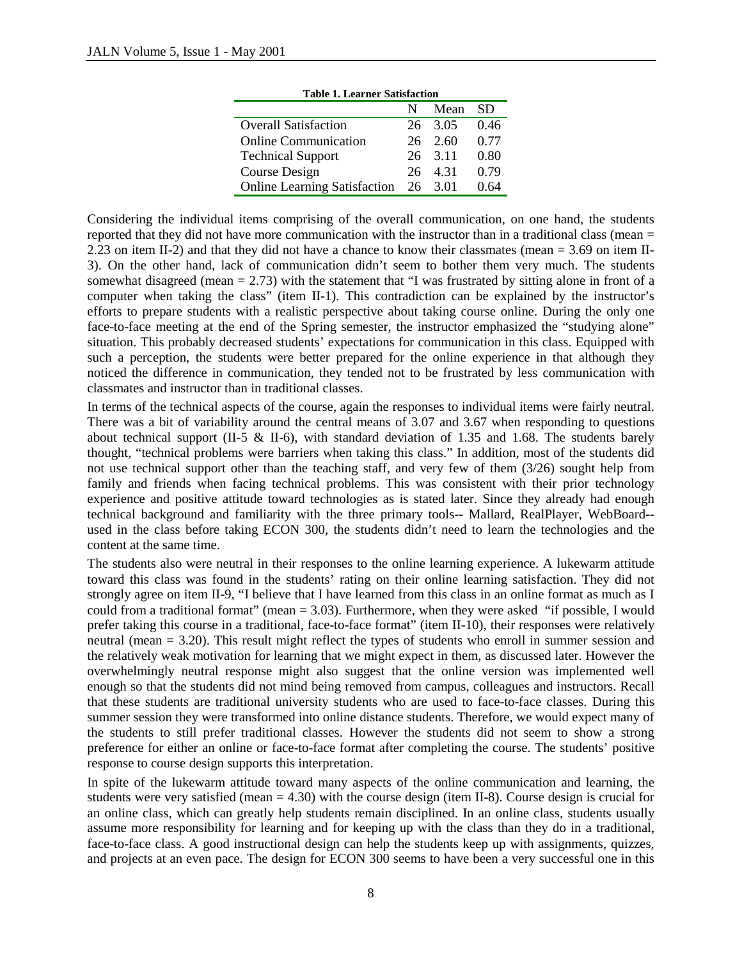| тарк т. есатист заизтасион          |     |                 |           |
|-------------------------------------|-----|-----------------|-----------|
|                                     | N   | Mean            | <b>SD</b> |
| <b>Overall Satisfaction</b>         |     | 26 3.05         | 0.46      |
| <b>Online Communication</b>         |     | $26 \quad 2.60$ | 0.77      |
| <b>Technical Support</b>            |     | 26 3.11         | 0.80      |
| Course Design                       | 26. | 4.31            | 0.79      |
| <b>Online Learning Satisfaction</b> |     | 26 3.01         | 0.64      |

**Table 1. Learner Satisfaction** 

Considering the individual items comprising of the overall communication, on one hand, the students reported that they did not have more communication with the instructor than in a traditional class (mean  $=$ 2.23 on item II-2) and that they did not have a chance to know their classmates (mean = 3.69 on item II-3). On the other hand, lack of communication didn't seem to bother them very much. The students somewhat disagreed (mean  $= 2.73$ ) with the statement that "I was frustrated by sitting alone in front of a computer when taking the class" (item II-1). This contradiction can be explained by the instructor's efforts to prepare students with a realistic perspective about taking course online. During the only one face-to-face meeting at the end of the Spring semester, the instructor emphasized the "studying alone" situation. This probably decreased students' expectations for communication in this class. Equipped with such a perception, the students were better prepared for the online experience in that although they noticed the difference in communication, they tended not to be frustrated by less communication with classmates and instructor than in traditional classes.

In terms of the technical aspects of the course, again the responses to individual items were fairly neutral. There was a bit of variability around the central means of 3.07 and 3.67 when responding to questions about technical support (II-5 & II-6), with standard deviation of 1.35 and 1.68. The students barely thought, "technical problems were barriers when taking this class." In addition, most of the students did not use technical support other than the teaching staff, and very few of them (3/26) sought help from family and friends when facing technical problems. This was consistent with their prior technology experience and positive attitude toward technologies as is stated later. Since they already had enough technical background and familiarity with the three primary tools-- Mallard, RealPlayer, WebBoard- used in the class before taking ECON 300, the students didn't need to learn the technologies and the content at the same time.

The students also were neutral in their responses to the online learning experience. A lukewarm attitude toward this class was found in the students' rating on their online learning satisfaction. They did not strongly agree on item II-9, "I believe that I have learned from this class in an online format as much as I could from a traditional format" (mean  $= 3.03$ ). Furthermore, when they were asked "if possible, I would prefer taking this course in a traditional, face-to-face format" (item II-10), their responses were relatively neutral (mean = 3.20). This result might reflect the types of students who enroll in summer session and the relatively weak motivation for learning that we might expect in them, as discussed later. However the overwhelmingly neutral response might also suggest that the online version was implemented well enough so that the students did not mind being removed from campus, colleagues and instructors. Recall that these students are traditional university students who are used to face-to-face classes. During this summer session they were transformed into online distance students. Therefore, we would expect many of the students to still prefer traditional classes. However the students did not seem to show a strong preference for either an online or face-to-face format after completing the course. The students' positive response to course design supports this interpretation.

In spite of the lukewarm attitude toward many aspects of the online communication and learning, the students were very satisfied (mean  $= 4.30$ ) with the course design (item II-8). Course design is crucial for an online class, which can greatly help students remain disciplined. In an online class, students usually assume more responsibility for learning and for keeping up with the class than they do in a traditional, face-to-face class. A good instructional design can help the students keep up with assignments, quizzes, and projects at an even pace. The design for ECON 300 seems to have been a very successful one in this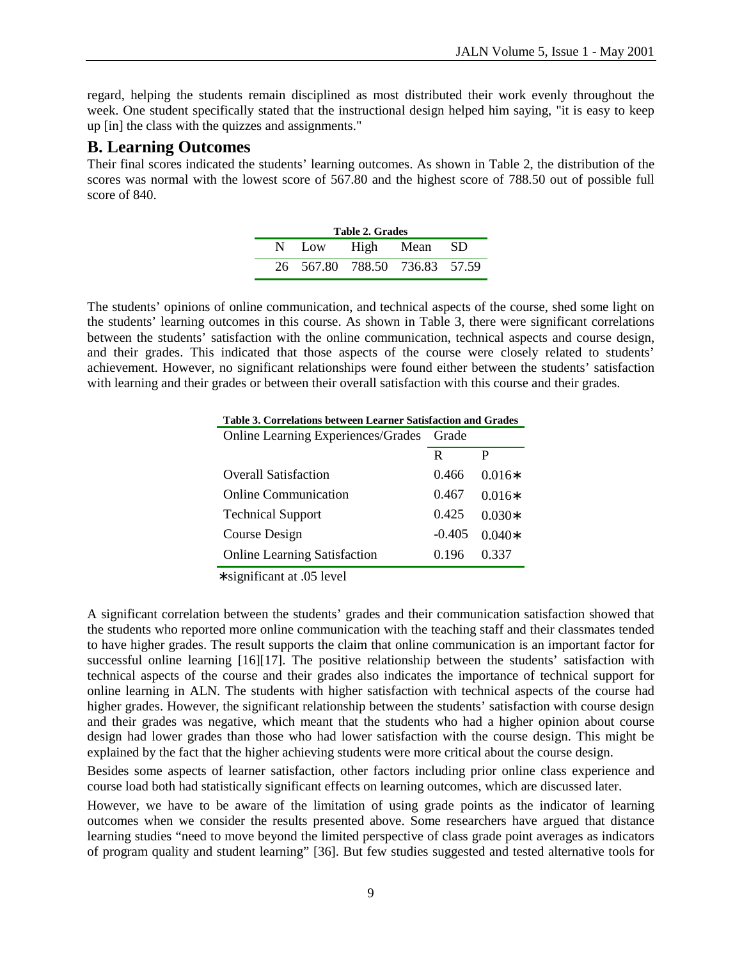regard, helping the students remain disciplined as most distributed their work evenly throughout the week. One student specifically stated that the instructional design helped him saying, "it is easy to keep up [in] the class with the quizzes and assignments."

# **B. Learning Outcomes**

Their final scores indicated the students' learning outcomes. As shown in Table 2, the distribution of the scores was normal with the lowest score of 567.80 and the highest score of 788.50 out of possible full score of 840.

| Table 2. Grades |                               |  |  |  |  |  |  |  |
|-----------------|-------------------------------|--|--|--|--|--|--|--|
|                 | N Low High Mean SD            |  |  |  |  |  |  |  |
|                 | 26 567.80 788.50 736.83 57.59 |  |  |  |  |  |  |  |

The students' opinions of online communication, and technical aspects of the course, shed some light on the students' learning outcomes in this course. As shown in Table 3, there were significant correlations between the students' satisfaction with the online communication, technical aspects and course design, and their grades. This indicated that those aspects of the course were closely related to students' achievement. However, no significant relationships were found either between the students' satisfaction with learning and their grades or between their overall satisfaction with this course and their grades.

|  | Table 3. Correlations between Learner Satisfaction and Grades |  |
|--|---------------------------------------------------------------|--|
|  |                                                               |  |

| Online Learning Experiences/Grades Grade |          |          |
|------------------------------------------|----------|----------|
|                                          | R        | P        |
| <b>Overall Satisfaction</b>              | 0.466    | $0.016*$ |
| <b>Online Communication</b>              | 0.467    | $0.016*$ |
| <b>Technical Support</b>                 | 0.425    | $0.030*$ |
| Course Design                            | $-0.405$ | $0.040*$ |
| <b>Online Learning Satisfaction</b>      | 0.196    | 0.337    |

∗ significant at .05 level

A significant correlation between the students' grades and their communication satisfaction showed that the students who reported more online communication with the teaching staff and their classmates tended to have higher grades. The result supports the claim that online communication is an important factor for successful online learning [16][17]. The positive relationship between the students' satisfaction with technical aspects of the course and their grades also indicates the importance of technical support for online learning in ALN. The students with higher satisfaction with technical aspects of the course had higher grades. However, the significant relationship between the students' satisfaction with course design and their grades was negative, which meant that the students who had a higher opinion about course design had lower grades than those who had lower satisfaction with the course design. This might be explained by the fact that the higher achieving students were more critical about the course design.

Besides some aspects of learner satisfaction, other factors including prior online class experience and course load both had statistically significant effects on learning outcomes, which are discussed later.

However, we have to be aware of the limitation of using grade points as the indicator of learning outcomes when we consider the results presented above. Some researchers have argued that distance learning studies "need to move beyond the limited perspective of class grade point averages as indicators of program quality and student learning" [36]. But few studies suggested and tested alternative tools for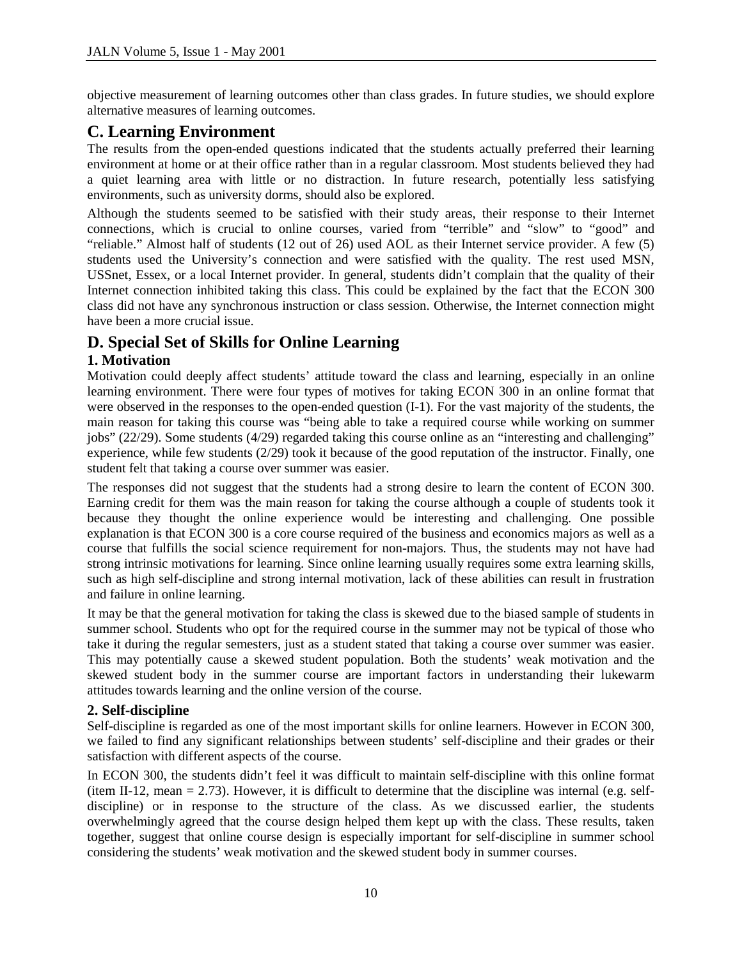objective measurement of learning outcomes other than class grades. In future studies, we should explore alternative measures of learning outcomes.

# **C. Learning Environment**

The results from the open-ended questions indicated that the students actually preferred their learning environment at home or at their office rather than in a regular classroom. Most students believed they had a quiet learning area with little or no distraction. In future research, potentially less satisfying environments, such as university dorms, should also be explored.

Although the students seemed to be satisfied with their study areas, their response to their Internet connections, which is crucial to online courses, varied from "terrible" and "slow" to "good" and "reliable." Almost half of students (12 out of 26) used AOL as their Internet service provider. A few (5) students used the University's connection and were satisfied with the quality. The rest used MSN, USSnet, Essex, or a local Internet provider. In general, students didn't complain that the quality of their Internet connection inhibited taking this class. This could be explained by the fact that the ECON 300 class did not have any synchronous instruction or class session. Otherwise, the Internet connection might have been a more crucial issue.

# **D. Special Set of Skills for Online Learning**

## **1. Motivation**

Motivation could deeply affect students' attitude toward the class and learning, especially in an online learning environment. There were four types of motives for taking ECON 300 in an online format that were observed in the responses to the open-ended question (I-1). For the vast majority of the students, the main reason for taking this course was "being able to take a required course while working on summer jobs" (22/29). Some students (4/29) regarded taking this course online as an "interesting and challenging" experience, while few students (2/29) took it because of the good reputation of the instructor. Finally, one student felt that taking a course over summer was easier.

The responses did not suggest that the students had a strong desire to learn the content of ECON 300. Earning credit for them was the main reason for taking the course although a couple of students took it because they thought the online experience would be interesting and challenging. One possible explanation is that ECON 300 is a core course required of the business and economics majors as well as a course that fulfills the social science requirement for non-majors. Thus, the students may not have had strong intrinsic motivations for learning. Since online learning usually requires some extra learning skills, such as high self-discipline and strong internal motivation, lack of these abilities can result in frustration and failure in online learning.

It may be that the general motivation for taking the class is skewed due to the biased sample of students in summer school. Students who opt for the required course in the summer may not be typical of those who take it during the regular semesters, just as a student stated that taking a course over summer was easier. This may potentially cause a skewed student population. Both the students' weak motivation and the skewed student body in the summer course are important factors in understanding their lukewarm attitudes towards learning and the online version of the course.

## **2. Self-discipline**

Self-discipline is regarded as one of the most important skills for online learners. However in ECON 300, we failed to find any significant relationships between students' self-discipline and their grades or their satisfaction with different aspects of the course.

In ECON 300, the students didn't feel it was difficult to maintain self-discipline with this online format (item II-12, mean  $= 2.73$ ). However, it is difficult to determine that the discipline was internal (e.g. selfdiscipline) or in response to the structure of the class. As we discussed earlier, the students overwhelmingly agreed that the course design helped them kept up with the class. These results, taken together, suggest that online course design is especially important for self-discipline in summer school considering the students' weak motivation and the skewed student body in summer courses.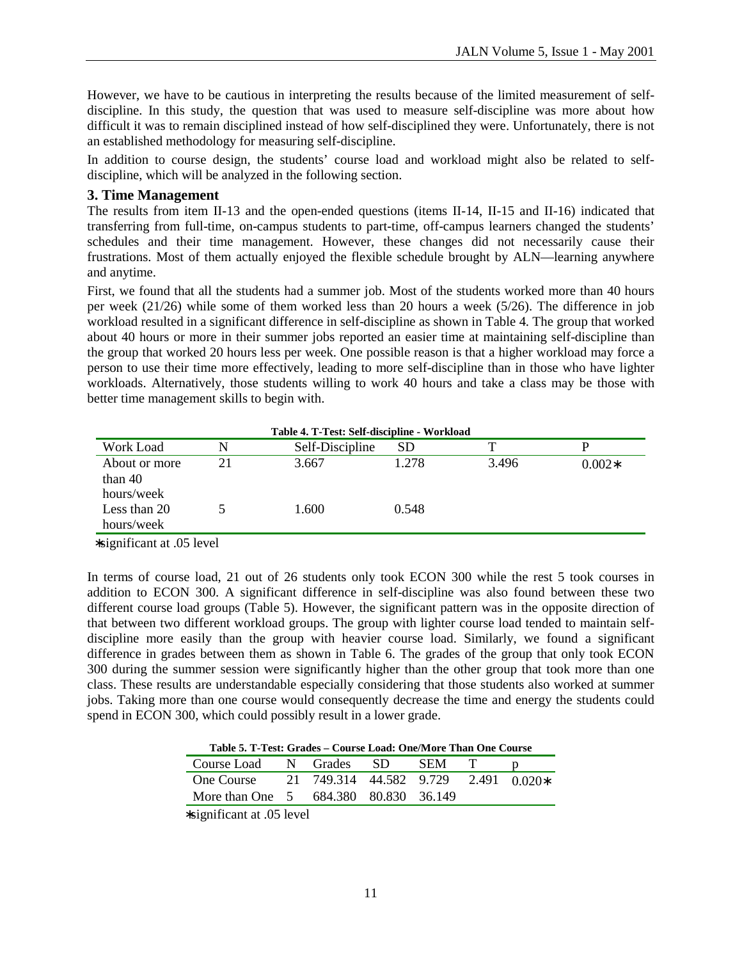However, we have to be cautious in interpreting the results because of the limited measurement of selfdiscipline. In this study, the question that was used to measure self-discipline was more about how difficult it was to remain disciplined instead of how self-disciplined they were. Unfortunately, there is not an established methodology for measuring self-discipline.

In addition to course design, the students' course load and workload might also be related to selfdiscipline, which will be analyzed in the following section.

#### **3. Time Management**

The results from item II-13 and the open-ended questions (items II-14, II-15 and II-16) indicated that transferring from full-time, on-campus students to part-time, off-campus learners changed the students' schedules and their time management. However, these changes did not necessarily cause their frustrations. Most of them actually enjoyed the flexible schedule brought by ALN—learning anywhere and anytime.

First, we found that all the students had a summer job. Most of the students worked more than 40 hours per week (21/26) while some of them worked less than 20 hours a week (5/26). The difference in job workload resulted in a significant difference in self-discipline as shown in Table 4. The group that worked about 40 hours or more in their summer jobs reported an easier time at maintaining self-discipline than the group that worked 20 hours less per week. One possible reason is that a higher workload may force a person to use their time more effectively, leading to more self-discipline than in those who have lighter workloads. Alternatively, those students willing to work 40 hours and take a class may be those with better time management skills to begin with.

| Table 4. T-Test: Self-discipline - Workload |    |                 |       |       |          |  |  |  |  |
|---------------------------------------------|----|-----------------|-------|-------|----------|--|--|--|--|
| Work Load                                   |    | Self-Discipline | SD    | т     |          |  |  |  |  |
| About or more<br>than $40$                  | 21 | 3.667           | 1.278 | 3.496 | $0.002*$ |  |  |  |  |
| hours/week                                  |    |                 |       |       |          |  |  |  |  |
| Less than 20<br>hours/week                  |    | 1.600           | 0.548 |       |          |  |  |  |  |
| .<br>.                                      |    |                 |       |       |          |  |  |  |  |

∗significant at .05 level

In terms of course load, 21 out of 26 students only took ECON 300 while the rest 5 took courses in addition to ECON 300. A significant difference in self-discipline was also found between these two different course load groups (Table 5). However, the significant pattern was in the opposite direction of that between two different workload groups. The group with lighter course load tended to maintain selfdiscipline more easily than the group with heavier course load. Similarly, we found a significant difference in grades between them as shown in Table 6. The grades of the group that only took ECON 300 during the summer session were significantly higher than the other group that took more than one class. These results are understandable especially considering that those students also worked at summer jobs. Taking more than one course would consequently decrease the time and energy the students could spend in ECON 300, which could possibly result in a lower grade.

**Table 5. T-Test: Grades – Course Load: One/More Than One Course** 

| Course Load                           | N Grades                             | - SD - | -SEM |  |
|---------------------------------------|--------------------------------------|--------|------|--|
| One Course                            | 21 749.314 44.582 9.729 2.491 0.020* |        |      |  |
| More than One 5 684.380 80.830 36.149 |                                      |        |      |  |
|                                       |                                      |        |      |  |

∗significant at .05 level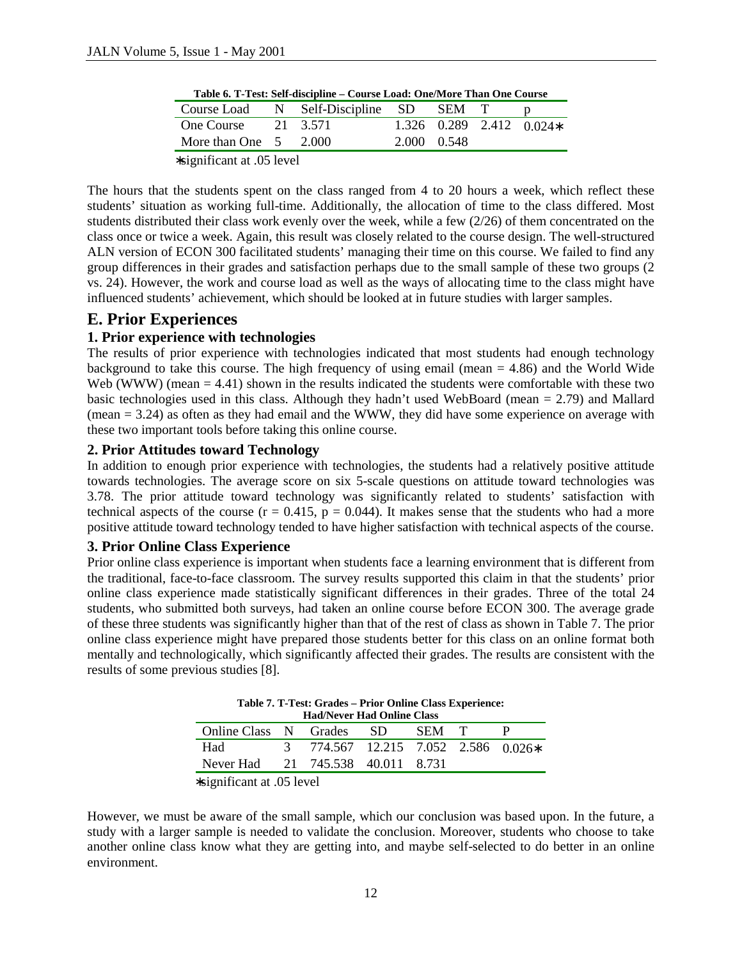|                               | Table 6. 1-Test: Sen-uiscipline – Course Load: One/More Than One Course |                                        |             |  |  |                            |  |  |  |  |
|-------------------------------|-------------------------------------------------------------------------|----------------------------------------|-------------|--|--|----------------------------|--|--|--|--|
|                               |                                                                         | Course Load N Self-Discipline SD SEM T |             |  |  |                            |  |  |  |  |
| One Course $21$ 3.571         |                                                                         |                                        |             |  |  | $1.326$ 0.289 2.412 0.024* |  |  |  |  |
| More than One $5 \quad 2.000$ |                                                                         |                                        | 2.000 0.548 |  |  |                            |  |  |  |  |
| $\cdots$ $\cdots$ $\cdots$    |                                                                         |                                        |             |  |  |                            |  |  |  |  |

**Table 6. T-Test: Self-discipline – Course Load: One/More Than One Course** 

∗significant at .05 level

The hours that the students spent on the class ranged from 4 to 20 hours a week, which reflect these students' situation as working full-time. Additionally, the allocation of time to the class differed. Most students distributed their class work evenly over the week, while a few (2/26) of them concentrated on the class once or twice a week. Again, this result was closely related to the course design. The well-structured ALN version of ECON 300 facilitated students' managing their time on this course. We failed to find any group differences in their grades and satisfaction perhaps due to the small sample of these two groups (2 vs. 24). However, the work and course load as well as the ways of allocating time to the class might have influenced students' achievement, which should be looked at in future studies with larger samples.

## **E. Prior Experiences**

## **1. Prior experience with technologies**

The results of prior experience with technologies indicated that most students had enough technology background to take this course. The high frequency of using email (mean  $= 4.86$ ) and the World Wide Web (WWW) (mean  $= 4.41$ ) shown in the results indicated the students were comfortable with these two basic technologies used in this class. Although they hadn't used WebBoard (mean = 2.79) and Mallard  $(mean = 3.24)$  as often as they had email and the WWW, they did have some experience on average with these two important tools before taking this online course.

## **2. Prior Attitudes toward Technology**

In addition to enough prior experience with technologies, the students had a relatively positive attitude towards technologies. The average score on six 5-scale questions on attitude toward technologies was 3.78. The prior attitude toward technology was significantly related to students' satisfaction with technical aspects of the course ( $r = 0.415$ ,  $p = 0.044$ ). It makes sense that the students who had a more positive attitude toward technology tended to have higher satisfaction with technical aspects of the course.

## **3. Prior Online Class Experience**

Prior online class experience is important when students face a learning environment that is different from the traditional, face-to-face classroom. The survey results supported this claim in that the students' prior online class experience made statistically significant differences in their grades. Three of the total 24 students, who submitted both surveys, had taken an online course before ECON 300. The average grade of these three students was significantly higher than that of the rest of class as shown in Table 7. The prior online class experience might have prepared those students better for this class on an online format both mentally and technologically, which significantly affected their grades. The results are consistent with the results of some previous studies [8].

**Table 7. T-Test: Grades – Prior Online Class Experience: Had/Never Had Online Class** 

| <b>Had/Never Had Online Class</b> |  |                                     |  |       |  |  |  |  |  |
|-----------------------------------|--|-------------------------------------|--|-------|--|--|--|--|--|
| Online Class N Grades SD          |  |                                     |  | SEM T |  |  |  |  |  |
| Had                               |  | 3 774.567 12.215 7.052 2.586 0.026* |  |       |  |  |  |  |  |
| Never Had 21 745.538 40.011 8.731 |  |                                     |  |       |  |  |  |  |  |
|                                   |  |                                     |  |       |  |  |  |  |  |

∗significant at .05 level

However, we must be aware of the small sample, which our conclusion was based upon. In the future, a study with a larger sample is needed to validate the conclusion. Moreover, students who choose to take another online class know what they are getting into, and maybe self-selected to do better in an online environment.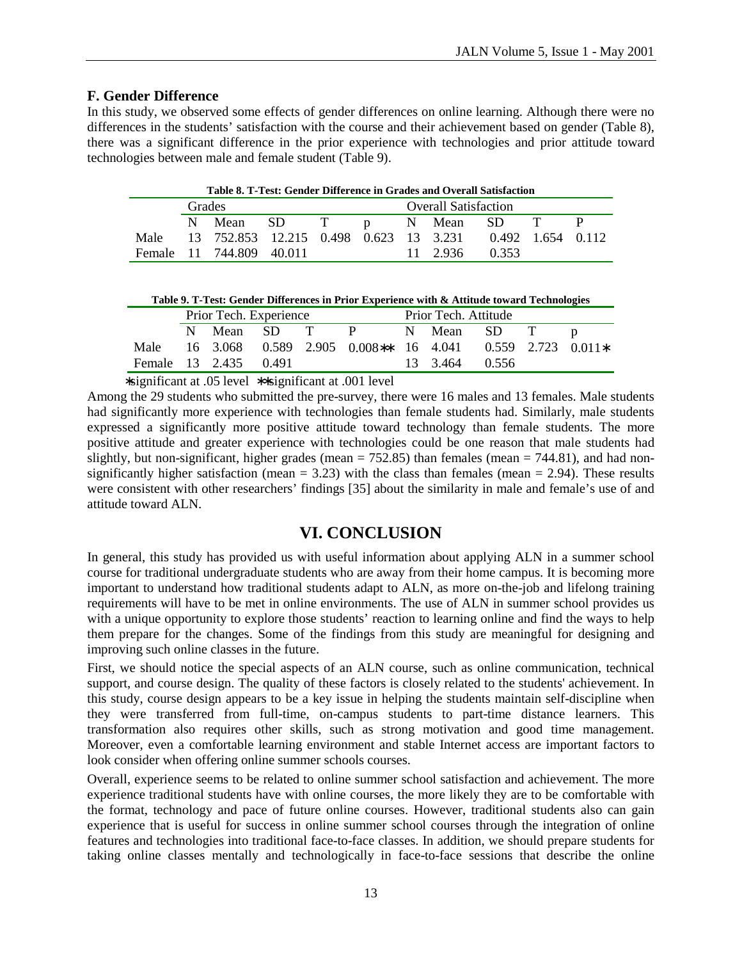## **F. Gender Difference**

In this study, we observed some effects of gender differences on online learning. Although there were no differences in the students' satisfaction with the course and their achievement based on gender (Table 8), there was a significant difference in the prior experience with technologies and prior attitude toward technologies between male and female student (Table 9).

| Table 8. T-Test: Gender Difference in Grades and Overall Satisfaction |                                              |                                                               |  |  |  |  |          |       |  |  |
|-----------------------------------------------------------------------|----------------------------------------------|---------------------------------------------------------------|--|--|--|--|----------|-------|--|--|
|                                                                       | <b>Overall Satisfaction</b><br><b>Grades</b> |                                                               |  |  |  |  |          |       |  |  |
|                                                                       |                                              | N Mean SD T p N Mean SD T                                     |  |  |  |  |          |       |  |  |
|                                                                       |                                              | Male 13 752.853 12.215 0.498 0.623 13 3.231 0.492 1.654 0.112 |  |  |  |  |          |       |  |  |
|                                                                       |                                              | Female 11 744,809 40,011                                      |  |  |  |  | 11 2.936 | 0.353 |  |  |

|           | Table 9. T-Test: Gender Differences in Prior Experience with & Attitude toward Technologies |  |
|-----------|---------------------------------------------------------------------------------------------|--|
| _ _ _ _ _ | _ _ _ _ _                                                                                   |  |

|                       | Prior Tech. Experience |  |  |  |                                                               | Prior Tech. Attitude |                |  |  |  |
|-----------------------|------------------------|--|--|--|---------------------------------------------------------------|----------------------|----------------|--|--|--|
|                       |                        |  |  |  | N Mean SD T P N Mean SD T p                                   |                      |                |  |  |  |
|                       |                        |  |  |  | Male 16 3.068 0.589 2.905 0.008** 16 4.041 0.559 2.723 0.011* |                      |                |  |  |  |
| Female 13 2.435 0.491 |                        |  |  |  |                                                               |                      | 13 3.464 0.556 |  |  |  |

∗significant at .05 level ∗∗significant at .001 level

Among the 29 students who submitted the pre-survey, there were 16 males and 13 females. Male students had significantly more experience with technologies than female students had. Similarly, male students expressed a significantly more positive attitude toward technology than female students. The more positive attitude and greater experience with technologies could be one reason that male students had slightly, but non-significant, higher grades (mean  $= 752.85$ ) than females (mean  $= 744.81$ ), and had nonsignificantly higher satisfaction (mean  $= 3.23$ ) with the class than females (mean  $= 2.94$ ). These results were consistent with other researchers' findings [35] about the similarity in male and female's use of and attitude toward ALN.

## **VI. CONCLUSION**

In general, this study has provided us with useful information about applying ALN in a summer school course for traditional undergraduate students who are away from their home campus. It is becoming more important to understand how traditional students adapt to ALN, as more on-the-job and lifelong training requirements will have to be met in online environments. The use of ALN in summer school provides us with a unique opportunity to explore those students' reaction to learning online and find the ways to help them prepare for the changes. Some of the findings from this study are meaningful for designing and improving such online classes in the future.

First, we should notice the special aspects of an ALN course, such as online communication, technical support, and course design. The quality of these factors is closely related to the students' achievement. In this study, course design appears to be a key issue in helping the students maintain self-discipline when they were transferred from full-time, on-campus students to part-time distance learners. This transformation also requires other skills, such as strong motivation and good time management. Moreover, even a comfortable learning environment and stable Internet access are important factors to look consider when offering online summer schools courses.

Overall, experience seems to be related to online summer school satisfaction and achievement. The more experience traditional students have with online courses, the more likely they are to be comfortable with the format, technology and pace of future online courses. However, traditional students also can gain experience that is useful for success in online summer school courses through the integration of online features and technologies into traditional face-to-face classes. In addition, we should prepare students for taking online classes mentally and technologically in face-to-face sessions that describe the online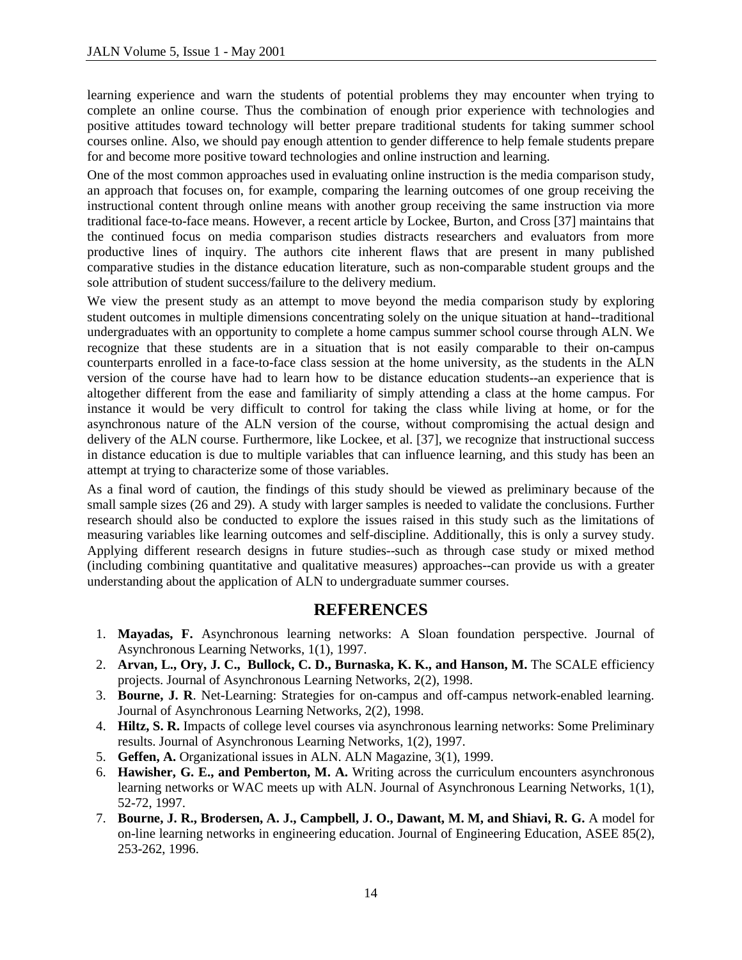learning experience and warn the students of potential problems they may encounter when trying to complete an online course. Thus the combination of enough prior experience with technologies and positive attitudes toward technology will better prepare traditional students for taking summer school courses online. Also, we should pay enough attention to gender difference to help female students prepare for and become more positive toward technologies and online instruction and learning.

One of the most common approaches used in evaluating online instruction is the media comparison study, an approach that focuses on, for example, comparing the learning outcomes of one group receiving the instructional content through online means with another group receiving the same instruction via more traditional face-to-face means. However, a recent article by Lockee, Burton, and Cross [37] maintains that the continued focus on media comparison studies distracts researchers and evaluators from more productive lines of inquiry. The authors cite inherent flaws that are present in many published comparative studies in the distance education literature, such as non-comparable student groups and the sole attribution of student success/failure to the delivery medium.

We view the present study as an attempt to move beyond the media comparison study by exploring student outcomes in multiple dimensions concentrating solely on the unique situation at hand--traditional undergraduates with an opportunity to complete a home campus summer school course through ALN. We recognize that these students are in a situation that is not easily comparable to their on-campus counterparts enrolled in a face-to-face class session at the home university, as the students in the ALN version of the course have had to learn how to be distance education students--an experience that is altogether different from the ease and familiarity of simply attending a class at the home campus. For instance it would be very difficult to control for taking the class while living at home, or for the asynchronous nature of the ALN version of the course, without compromising the actual design and delivery of the ALN course. Furthermore, like Lockee, et al. [37], we recognize that instructional success in distance education is due to multiple variables that can influence learning, and this study has been an attempt at trying to characterize some of those variables.

As a final word of caution, the findings of this study should be viewed as preliminary because of the small sample sizes (26 and 29). A study with larger samples is needed to validate the conclusions. Further research should also be conducted to explore the issues raised in this study such as the limitations of measuring variables like learning outcomes and self-discipline. Additionally, this is only a survey study. Applying different research designs in future studies--such as through case study or mixed method (including combining quantitative and qualitative measures) approaches--can provide us with a greater understanding about the application of ALN to undergraduate summer courses.

## **REFERENCES**

- 1. **Mayadas, F.** Asynchronous learning networks: A Sloan foundation perspective. Journal of Asynchronous Learning Networks, 1(1), 1997.
- 2. **Arvan, L., Ory, J. C., Bullock, C. D., Burnaska, K. K., and Hanson, M.** The SCALE efficiency projects. Journal of Asynchronous Learning Networks, 2(2), 1998.
- 3. **Bourne, J. R**. Net-Learning: Strategies for on-campus and off-campus network-enabled learning. Journal of Asynchronous Learning Networks, 2(2), 1998.
- 4. **Hiltz, S. R.** Impacts of college level courses via asynchronous learning networks: Some Preliminary results. Journal of Asynchronous Learning Networks, 1(2), 1997.
- 5. **Geffen, A.** Organizational issues in ALN. ALN Magazine, 3(1), 1999.
- 6. **Hawisher, G. E., and Pemberton, M. A.** Writing across the curriculum encounters asynchronous learning networks or WAC meets up with ALN. Journal of Asynchronous Learning Networks, 1(1), 52-72, 1997.
- 7. **Bourne, J. R., Brodersen, A. J., Campbell, J. O., Dawant, M. M, and Shiavi, R. G.** A model for on-line learning networks in engineering education. Journal of Engineering Education, ASEE 85(2), 253-262, 1996.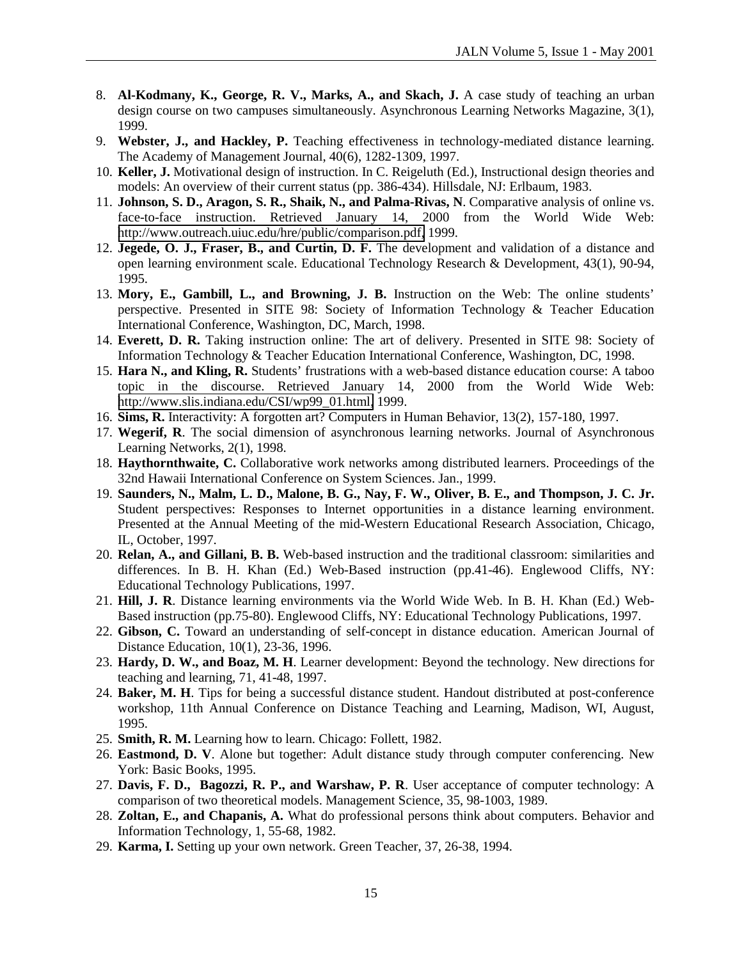- 8. **Al-Kodmany, K., George, R. V., Marks, A., and Skach, J.** A case study of teaching an urban design course on two campuses simultaneously. Asynchronous Learning Networks Magazine, 3(1), 1999.
- 9. **Webster, J., and Hackley, P.** Teaching effectiveness in technology-mediated distance learning. The Academy of Management Journal, 40(6), 1282-1309, 1997.
- 10. **Keller, J.** Motivational design of instruction. In C. Reigeluth (Ed.), Instructional design theories and models: An overview of their current status (pp. 386-434). Hillsdale, NJ: Erlbaum, 1983.
- 11. **Johnson, S. D., Aragon, S. R., Shaik, N., and Palma-Rivas, N**. Comparative analysis of online vs. face-to-face instruction. Retrieved January 14, 2000 from the World Wide Web: [http://www.outreach.uiuc.edu/hre/public/comparison.pdf,](http://www.outreach.uiuc.edu/hre/public/comparison.pdf) 1999.
- 12. **Jegede, O. J., Fraser, B., and Curtin, D. F.** The development and validation of a distance and open learning environment scale. Educational Technology Research & Development, 43(1), 90-94, 1995.
- 13. **Mory, E., Gambill, L., and Browning, J. B.** Instruction on the Web: The online students' perspective. Presented in SITE 98: Society of Information Technology & Teacher Education International Conference, Washington, DC, March, 1998.
- 14. **Everett, D. R.** Taking instruction online: The art of delivery. Presented in SITE 98: Society of Information Technology & Teacher Education International Conference, Washington, DC, 1998.
- 15. **Hara N., and Kling, R.** Students' frustrations with a web-based distance education course: A taboo topic in the discourse. Retrieved January 14, 2000 from the World Wide Web: [http://www.slis.indiana.edu/CSI/wp99\\_01.html,](http://www.slis.indiana.edu/CSI/wp99_01.html) 1999.
- 16. **Sims, R.** Interactivity: A forgotten art? Computers in Human Behavior, 13(2), 157-180, 1997.
- 17. **Wegerif, R**. The social dimension of asynchronous learning networks. Journal of Asynchronous Learning Networks, 2(1), 1998.
- 18. **Haythornthwaite, C.** Collaborative work networks among distributed learners. Proceedings of the 32nd Hawaii International Conference on System Sciences. Jan., 1999.
- 19. **Saunders, N., Malm, L. D., Malone, B. G., Nay, F. W., Oliver, B. E., and Thompson, J. C. Jr.** Student perspectives: Responses to Internet opportunities in a distance learning environment. Presented at the Annual Meeting of the mid-Western Educational Research Association, Chicago, IL, October, 1997.
- 20. **Relan, A., and Gillani, B. B.** Web-based instruction and the traditional classroom: similarities and differences. In B. H. Khan (Ed.) Web-Based instruction (pp.41-46). Englewood Cliffs, NY: Educational Technology Publications, 1997.
- 21. **Hill, J. R**. Distance learning environments via the World Wide Web. In B. H. Khan (Ed.) Web-Based instruction (pp.75-80). Englewood Cliffs, NY: Educational Technology Publications, 1997.
- 22. **Gibson, C.** Toward an understanding of self-concept in distance education. American Journal of Distance Education, 10(1), 23-36, 1996.
- 23. **Hardy, D. W., and Boaz, M. H**. Learner development: Beyond the technology. New directions for teaching and learning, 71, 41-48, 1997.
- 24. **Baker, M. H**. Tips for being a successful distance student. Handout distributed at post-conference workshop, 11th Annual Conference on Distance Teaching and Learning, Madison, WI, August, 1995.
- 25. **Smith, R. M.** Learning how to learn. Chicago: Follett, 1982.
- 26. **Eastmond, D. V**. Alone but together: Adult distance study through computer conferencing. New York: Basic Books, 1995.
- 27. **Davis, F. D., Bagozzi, R. P., and Warshaw, P. R**. User acceptance of computer technology: A comparison of two theoretical models. Management Science, 35, 98-1003, 1989.
- 28. **Zoltan, E., and Chapanis, A.** What do professional persons think about computers. Behavior and Information Technology, 1, 55-68, 1982.
- 29. **Karma, I.** Setting up your own network. Green Teacher, 37, 26-38, 1994.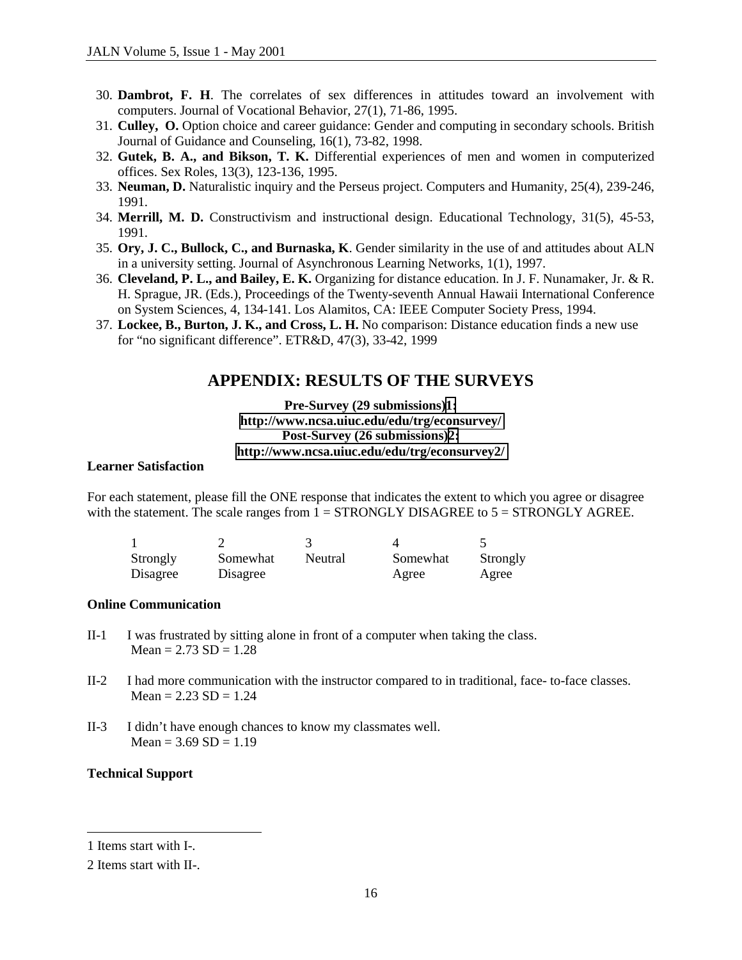- 30. **Dambrot, F. H**. The correlates of sex differences in attitudes toward an involvement with computers. Journal of Vocational Behavior, 27(1), 71-86, 1995.
- 31. **Culley, O.** Option choice and career guidance: Gender and computing in secondary schools. British Journal of Guidance and Counseling, 16(1), 73-82, 1998.
- 32. **Gutek, B. A., and Bikson, T. K.** Differential experiences of men and women in computerized offices. Sex Roles, 13(3), 123-136, 1995.
- 33. **Neuman, D.** Naturalistic inquiry and the Perseus project. Computers and Humanity, 25(4), 239-246, 1991.
- 34. **Merrill, M. D.** Constructivism and instructional design. Educational Technology, 31(5), 45-53, 1991.
- 35. **Ory, J. C., Bullock, C., and Burnaska, K**. Gender similarity in the use of and attitudes about ALN in a university setting. Journal of Asynchronous Learning Networks, 1(1), 1997.
- 36. **Cleveland, P. L., and Bailey, E. K.** Organizing for distance education. In J. F. Nunamaker, Jr. & R. H. Sprague, JR. (Eds.), Proceedings of the Twenty-seventh Annual Hawaii International Conference on System Sciences, 4, 134-141. Los Alamitos, CA: IEEE Computer Society Press, 1994.
- 37. **Lockee, B., Burton, J. K., and Cross, L. H.** No comparison: Distance education finds a new use for "no significant difference". ETR&D, 47(3), 33-42, 1999

## **APPENDIX: RESULTS OF THE SURVEYS**

**Pre-Survey (29 submissions)1: <http://www.ncsa.uiuc.edu/edu/trg/econsurvey/> Post-Survey (26 submissions)2: <http://www.ncsa.uiuc.edu/edu/trg/econsurvey2/>**

#### **Learner Satisfaction**

For each statement, please fill the ONE response that indicates the extent to which you agree or disagree with the statement. The scale ranges from  $1 = \text{STRONGLY DISAGREE}$  to  $5 = \text{STRONGLY AGREE}$ .

| Strongly | Somewhat | Neutral | Somewhat | Strongly |
|----------|----------|---------|----------|----------|
| Disagree | Disagree |         | Agree    | Agree    |

#### **Online Communication**

- II-1 I was frustrated by sitting alone in front of a computer when taking the class.  $Mean = 2.73 SD = 1.28$
- II-2 I had more communication with the instructor compared to in traditional, face- to-face classes.  $Mean = 2.23 SD = 1.24$
- II-3 I didn't have enough chances to know my classmates well.  $Mean = 3.69 SD = 1.19$

#### **Technical Support**

 $\overline{a}$ 

<sup>1</sup> Items start with I-.

<sup>2</sup> Items start with II-.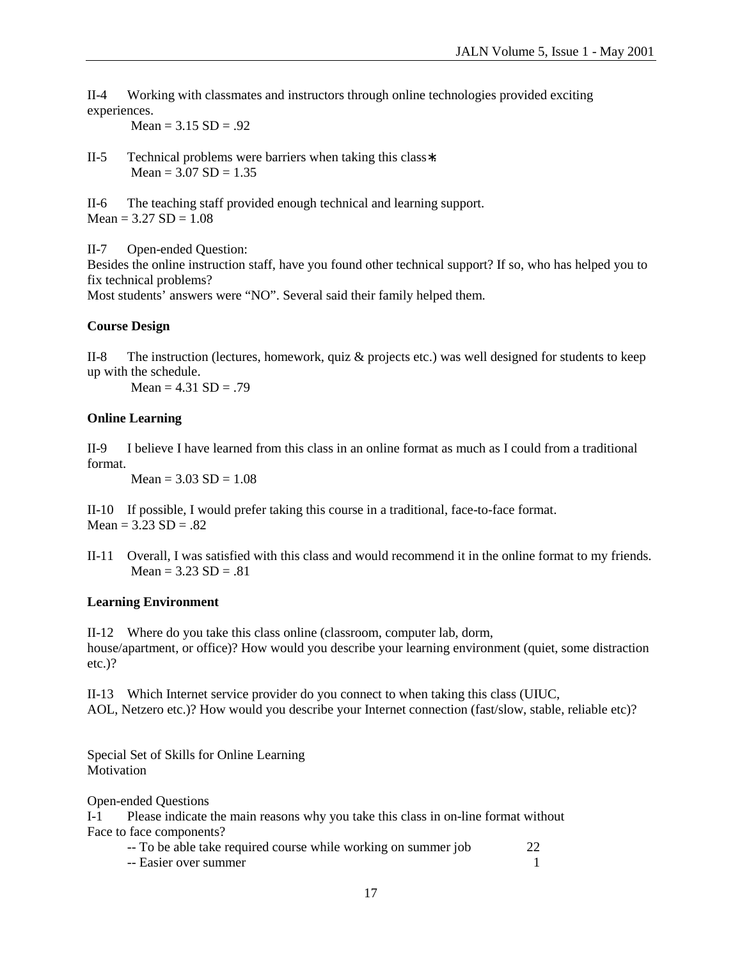II-4 Working with classmates and instructors through online technologies provided exciting experiences.

 $Mean = 3.15 SD = .92$ 

II-5 Technical problems were barriers when taking this class∗.  $Mean = 3.07 SD = 1.35$ 

II-6 The teaching staff provided enough technical and learning support.  $Mean = 3.27 SD = 1.08$ 

II-7 Open-ended Question:

Besides the online instruction staff, have you found other technical support? If so, who has helped you to fix technical problems?

Most students' answers were "NO". Several said their family helped them.

## **Course Design**

II-8 The instruction (lectures, homework, quiz & projects etc.) was well designed for students to keep up with the schedule.

 $Mean = 4.31 SD = .79$ 

#### **Online Learning**

II-9 I believe I have learned from this class in an online format as much as I could from a traditional format.

 $Mean = 3.03 SD = 1.08$ 

II-10 If possible, I would prefer taking this course in a traditional, face-to-face format.  $Mean = 3.23 SD = .82$ 

II-11 Overall, I was satisfied with this class and would recommend it in the online format to my friends.  $Mean = 3.23 SD = .81$ 

## **Learning Environment**

II-12 Where do you take this class online (classroom, computer lab, dorm, house/apartment, or office)? How would you describe your learning environment (quiet, some distraction etc.)?

II-13 Which Internet service provider do you connect to when taking this class (UIUC, AOL, Netzero etc.)? How would you describe your Internet connection (fast/slow, stable, reliable etc)?

Special Set of Skills for Online Learning Motivation

Open-ended Questions

I-1 Please indicate the main reasons why you take this class in on-line format without Face to face components?

|  | -- To be able take required course while working on summer job | 22 |
|--|----------------------------------------------------------------|----|
|  |                                                                |    |

-- Easier over summer 1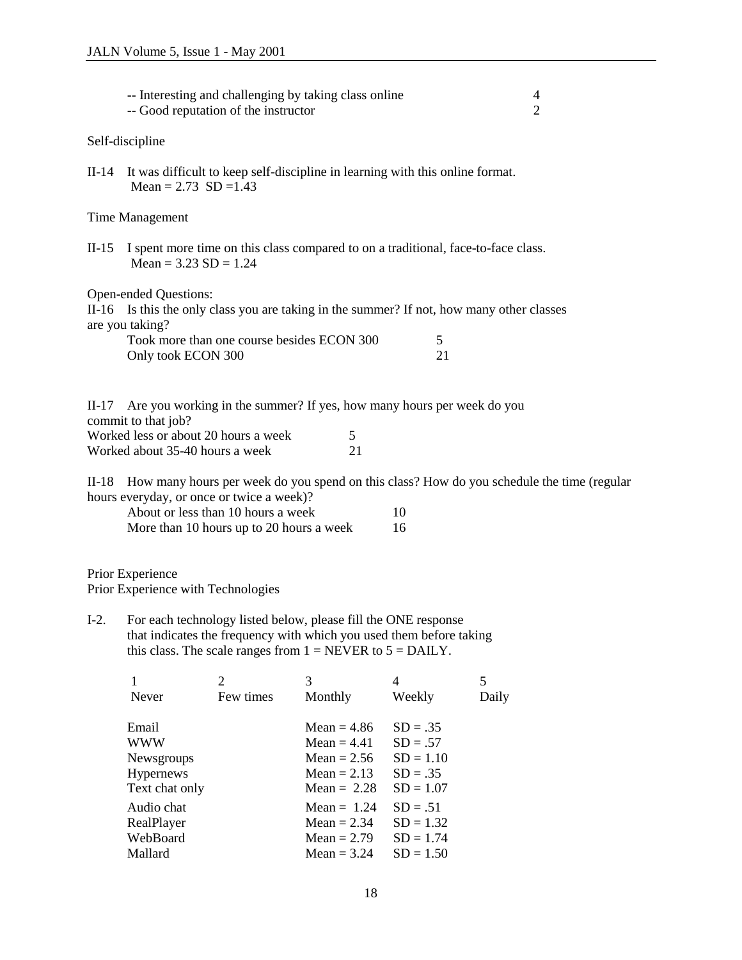|                                                                                                                                                                                                                   |                                                                                                                                                                                                                                      | -- Interesting and challenging by taking class online<br>-- Good reputation of the instructor |              |             | 4<br>$\overline{2}$ |
|-------------------------------------------------------------------------------------------------------------------------------------------------------------------------------------------------------------------|--------------------------------------------------------------------------------------------------------------------------------------------------------------------------------------------------------------------------------------|-----------------------------------------------------------------------------------------------|--------------|-------------|---------------------|
|                                                                                                                                                                                                                   | Self-discipline                                                                                                                                                                                                                      |                                                                                               |              |             |                     |
| $II-14$                                                                                                                                                                                                           | It was difficult to keep self-discipline in learning with this online format.<br>Mean = $2.73$ SD = 1.43                                                                                                                             |                                                                                               |              |             |                     |
|                                                                                                                                                                                                                   | Time Management                                                                                                                                                                                                                      |                                                                                               |              |             |                     |
| $II-15$                                                                                                                                                                                                           | I spent more time on this class compared to on a traditional, face-to-face class.<br>Mean = $3.23$ SD = $1.24$                                                                                                                       |                                                                                               |              |             |                     |
|                                                                                                                                                                                                                   | Open-ended Questions:<br>II-16 Is this the only class you are taking in the summer? If not, how many other classes<br>are you taking?<br>Took more than one course besides ECON 300<br>5<br>Only took ECON 300<br>21                 |                                                                                               |              |             |                     |
| Are you working in the summer? If yes, how many hours per week do you<br>$II-17$<br>commit to that job?<br>Worked less or about 20 hours a week<br>5<br>Worked about 35-40 hours a week<br>21                     |                                                                                                                                                                                                                                      |                                                                                               |              |             |                     |
| $II-18$                                                                                                                                                                                                           | How many hours per week do you spend on this class? How do you schedule the time (regular<br>hours everyday, or once or twice a week)?<br>About or less than 10 hours a week<br>10<br>More than 10 hours up to 20 hours a week<br>16 |                                                                                               |              |             |                     |
|                                                                                                                                                                                                                   | Prior Experience<br>Prior Experience with Technologies                                                                                                                                                                               |                                                                                               |              |             |                     |
| $I-2$ .<br>For each technology listed below, please fill the ONE response<br>that indicates the frequency with which you used them before taking<br>this class. The scale ranges from $1 = NEVER$ to $5 = DALY$ . |                                                                                                                                                                                                                                      |                                                                                               |              |             |                     |
|                                                                                                                                                                                                                   | 1<br>Never                                                                                                                                                                                                                           | $\overline{2}$<br>Few times                                                                   | 3<br>Monthly | 4<br>Weekly | 5<br>Daily          |
|                                                                                                                                                                                                                   |                                                                                                                                                                                                                                      |                                                                                               |              |             |                     |

| Email          | Mean $= 4.86$ | $SD = .35$  |
|----------------|---------------|-------------|
| WWW            | $Mean = 4.41$ | $SD = .57$  |
| Newsgroups     | Mean $= 2.56$ | $SD = 1.10$ |
| Hypernews      | $Mean = 2.13$ | $SD = .35$  |
| Text chat only | Mean $= 2.28$ | $SD = 1.07$ |
| Audio chat     | $Mean = 1.24$ | $SD = .51$  |
| RealPlayer     | $Mean = 2.34$ | $SD = 1.32$ |
| WebBoard       | Mean $= 2.79$ | $SD = 1.74$ |
| Mallard        | Mean $=$ 3.24 | $SD = 1.50$ |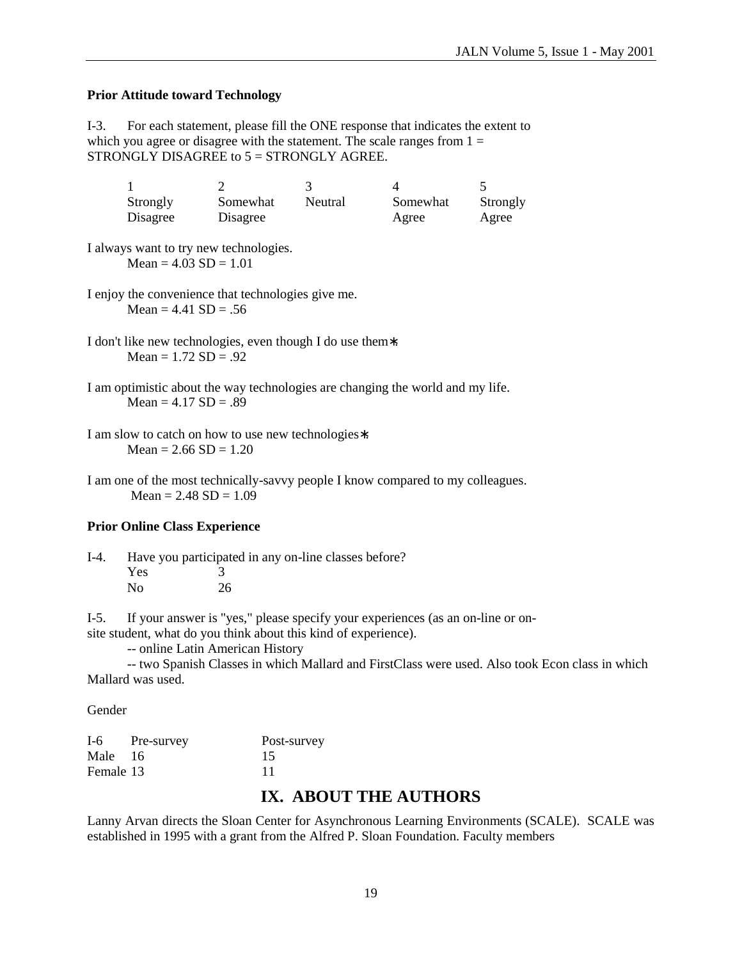#### **Prior Attitude toward Technology**

I-3. For each statement, please fill the ONE response that indicates the extent to which you agree or disagree with the statement. The scale ranges from  $1 =$ STRONGLY DISAGREE to  $5 =$  STRONGLY AGREE.

| Strongly | Somewhat | Neutral | Somewhat | Strongly |
|----------|----------|---------|----------|----------|
| Disagree | Disagree |         | Agree    | Agree    |

I always want to try new technologies.  $Mean = 4.03 SD = 1.01$ 

I enjoy the convenience that technologies give me. Mean =  $4.41$  SD = .56

I don't like new technologies, even though I do use them∗.  $Mean = 1.72 SD = .92$ 

I am optimistic about the way technologies are changing the world and my life.  $Mean = 4.17 SD = .89$ 

I am one of the most technically-savvy people I know compared to my colleagues.  $Mean = 2.48 SD = 1.09$ 

#### **Prior Online Class Experience**

I-4. Have you participated in any on-line classes before? Yes 3 No 26

I-5. If your answer is "yes," please specify your experiences (as an on-line or onsite student, what do you think about this kind of experience).

-- online Latin American History

 -- two Spanish Classes in which Mallard and FirstClass were used. Also took Econ class in which Mallard was used.

Gender

| $I-6$     | Pre-survey | Post-survey |
|-----------|------------|-------------|
| Male 16   |            | 15          |
| Female 13 |            | 11          |

## **IX. ABOUT THE AUTHORS**

Lanny Arvan directs the Sloan Center for Asynchronous Learning Environments (SCALE). SCALE was established in 1995 with a grant from the Alfred P. Sloan Foundation. Faculty members

I am slow to catch on how to use new technologies∗.  $Mean = 2.66 SD = 1.20$